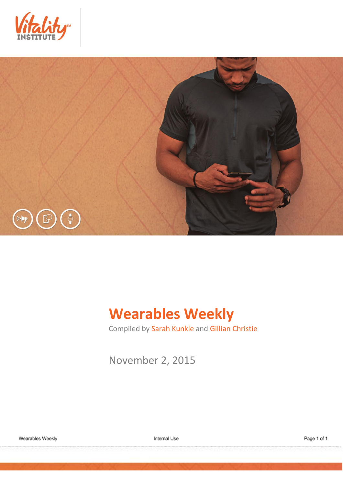



# **Wearables Weekly**

Compiled by Sarah Kunkle and Gillian Christie

November 2, 2015

Internal Use

Page 1 of 1